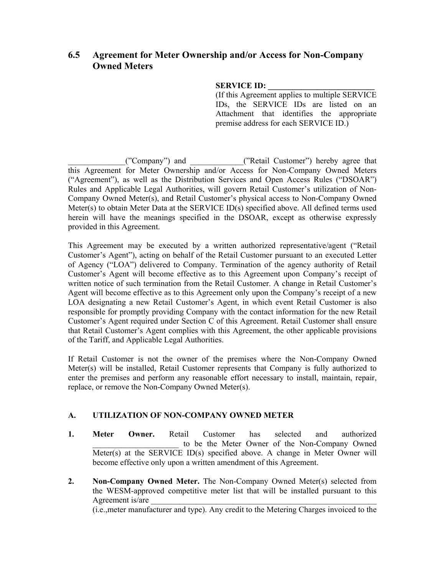# **6.5 Agreement for Meter Ownership and/or Access for Non-Company Owned Meters**

#### **SERVICE ID:**

(If this Agreement applies to multiple SERVICE IDs, the SERVICE IDs are listed on an Attachment that identifies the appropriate premise address for each SERVICE ID.)

("Company") and  $($ "Retail Customer") hereby agree that this Agreement for Meter Ownership and/or Access for Non-Company Owned Meters ("Agreement"), as well as the Distribution Services and Open Access Rules ("DSOAR") Rules and Applicable Legal Authorities, will govern Retail Customer's utilization of Non-Company Owned Meter(s), and Retail Customer's physical access to Non-Company Owned Meter(s) to obtain Meter Data at the SERVICE ID(s) specified above. All defined terms used herein will have the meanings specified in the DSOAR, except as otherwise expressly provided in this Agreement.

This Agreement may be executed by a written authorized representative/agent ("Retail Customer's Agent"), acting on behalf of the Retail Customer pursuant to an executed Letter of Agency ("LOA") delivered to Company. Termination of the agency authority of Retail Customer's Agent will become effective as to this Agreement upon Company's receipt of written notice of such termination from the Retail Customer. A change in Retail Customer's Agent will become effective as to this Agreement only upon the Company's receipt of a new LOA designating a new Retail Customer's Agent, in which event Retail Customer is also responsible for promptly providing Company with the contact information for the new Retail Customer's Agent required under Section C of this Agreement. Retail Customer shall ensure that Retail Customer's Agent complies with this Agreement, the other applicable provisions of the Tariff, and Applicable Legal Authorities.

If Retail Customer is not the owner of the premises where the Non-Company Owned Meter(s) will be installed, Retail Customer represents that Company is fully authorized to enter the premises and perform any reasonable effort necessary to install, maintain, repair, replace, or remove the Non-Company Owned Meter(s).

## **A. UTILIZATION OF NON-COMPANY OWNED METER**

- **1. Meter Owner.** Retail Customer has selected and authorized to be the Meter Owner of the Non-Company Owned Meter(s) at the SERVICE ID(s) specified above. A change in Meter Owner will become effective only upon a written amendment of this Agreement.
- **2. Non-Company Owned Meter.** The Non-Company Owned Meter(s) selected from the WESM-approved competitive meter list that will be installed pursuant to this Agreement is/are

(i.e.,meter manufacturer and type). Any credit to the Metering Charges invoiced to the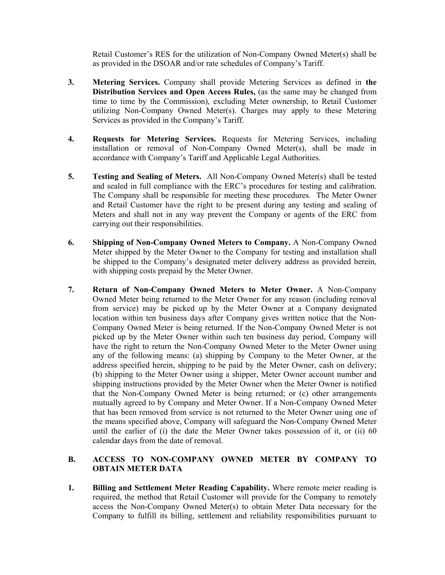Retail Customer's RES for the utilization of Non-Company Owned Meter(s) shall be as provided in the DSOAR and/or rate schedules of Company's Tariff.

- **3. Metering Services.** Company shall provide Metering Services as defined in **the Distribution Services and Open Access Rules,** (as the same may be changed from time to time by the Commission), excluding Meter ownership, to Retail Customer utilizing Non-Company Owned Meter(s). Charges may apply to these Metering Services as provided in the Company's Tariff.
- **4. Requests for Metering Services.** Requests for Metering Services, including installation or removal of Non-Company Owned Meter(s), shall be made in accordance with Company's Tariff and Applicable Legal Authorities.
- **5. Testing and Sealing of Meters.** All Non-Company Owned Meter(s) shall be tested and sealed in full compliance with the ERC's procedures for testing and calibration. The Company shall be responsible for meeting these procedures. The Meter Owner and Retail Customer have the right to be present during any testing and sealing of Meters and shall not in any way prevent the Company or agents of the ERC from carrying out their responsibilities.
- **6. Shipping of Non-Company Owned Meters to Company.** A Non-Company Owned Meter shipped by the Meter Owner to the Company for testing and installation shall be shipped to the Company's designated meter delivery address as provided herein, with shipping costs prepaid by the Meter Owner.
- **7. Return of Non-Company Owned Meters to Meter Owner.** A Non-Company Owned Meter being returned to the Meter Owner for any reason (including removal from service) may be picked up by the Meter Owner at a Company designated location within ten business days after Company gives written notice that the Non-Company Owned Meter is being returned. If the Non-Company Owned Meter is not picked up by the Meter Owner within such ten business day period, Company will have the right to return the Non-Company Owned Meter to the Meter Owner using any of the following means: (a) shipping by Company to the Meter Owner, at the address specified herein, shipping to be paid by the Meter Owner, cash on delivery; (b) shipping to the Meter Owner using a shipper, Meter Owner account number and shipping instructions provided by the Meter Owner when the Meter Owner is notified that the Non-Company Owned Meter is being returned; or (c) other arrangements mutually agreed to by Company and Meter Owner. If a Non-Company Owned Meter that has been removed from service is not returned to the Meter Owner using one of the means specified above, Company will safeguard the Non-Company Owned Meter until the earlier of (i) the date the Meter Owner takes possession of it, or (ii) 60 calendar days from the date of removal.

### **B. ACCESS TO NON-COMPANY OWNED METER BY COMPANY TO OBTAIN METER DATA**

**1. Billing and Settlement Meter Reading Capability.** Where remote meter reading is required, the method that Retail Customer will provide for the Company to remotely access the Non-Company Owned Meter(s) to obtain Meter Data necessary for the Company to fulfill its billing, settlement and reliability responsibilities pursuant to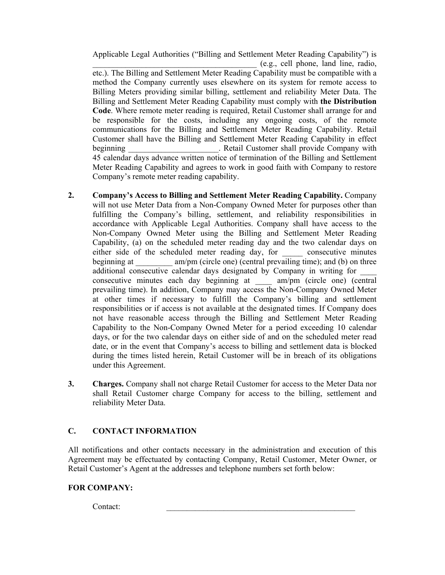Applicable Legal Authorities ("Billing and Settlement Meter Reading Capability") is \_\_\_\_\_\_\_\_\_\_\_\_\_\_\_\_\_\_\_\_\_\_\_\_\_\_\_\_\_\_\_\_\_\_\_\_\_\_\_\_ (e.g., cell phone, land line, radio,

etc.). The Billing and Settlement Meter Reading Capability must be compatible with a method the Company currently uses elsewhere on its system for remote access to Billing Meters providing similar billing, settlement and reliability Meter Data. The Billing and Settlement Meter Reading Capability must comply with **the Distribution Code**. Where remote meter reading is required, Retail Customer shall arrange for and be responsible for the costs, including any ongoing costs, of the remote communications for the Billing and Settlement Meter Reading Capability. Retail Customer shall have the Billing and Settlement Meter Reading Capability in effect beginning **beginning** Retail Customer shall provide Company with 45 calendar days advance written notice of termination of the Billing and Settlement Meter Reading Capability and agrees to work in good faith with Company to restore Company's remote meter reading capability.

- **2. Company's Access to Billing and Settlement Meter Reading Capability.** Company will not use Meter Data from a Non-Company Owned Meter for purposes other than fulfilling the Company's billing, settlement, and reliability responsibilities in accordance with Applicable Legal Authorities. Company shall have access to the Non-Company Owned Meter using the Billing and Settlement Meter Reading Capability, (a) on the scheduled meter reading day and the two calendar days on either side of the scheduled meter reading day, for consecutive minutes beginning at am/pm (circle one) (central prevailing time); and (b) on three additional consecutive calendar days designated by Company in writing for \_\_\_\_ consecutive minutes each day beginning at \_\_\_\_ am/pm (circle one) (central prevailing time). In addition, Company may access the Non-Company Owned Meter at other times if necessary to fulfill the Company's billing and settlement responsibilities or if access is not available at the designated times. If Company does not have reasonable access through the Billing and Settlement Meter Reading Capability to the Non-Company Owned Meter for a period exceeding 10 calendar days, or for the two calendar days on either side of and on the scheduled meter read date, or in the event that Company's access to billing and settlement data is blocked during the times listed herein, Retail Customer will be in breach of its obligations under this Agreement.
- **3. Charges.** Company shall not charge Retail Customer for access to the Meter Data nor shall Retail Customer charge Company for access to the billing, settlement and reliability Meter Data.

### **C. CONTACT INFORMATION**

All notifications and other contacts necessary in the administration and execution of this Agreement may be effectuated by contacting Company, Retail Customer, Meter Owner, or Retail Customer's Agent at the addresses and telephone numbers set forth below:

### **FOR COMPANY:**

 $\text{Context:}$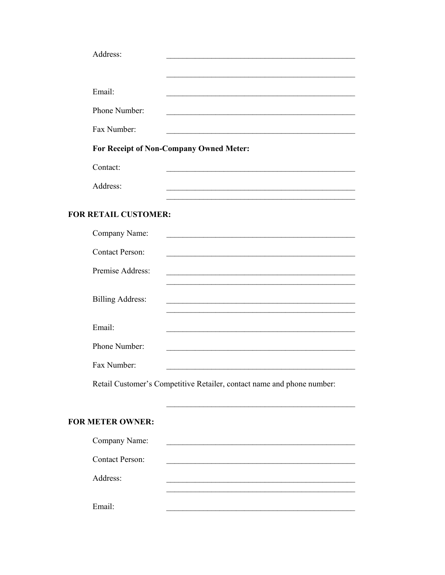| Address:                |                                                                                                                       |
|-------------------------|-----------------------------------------------------------------------------------------------------------------------|
|                         |                                                                                                                       |
| Email:                  |                                                                                                                       |
| Phone Number:           |                                                                                                                       |
| Fax Number:             |                                                                                                                       |
|                         | For Receipt of Non-Company Owned Meter:                                                                               |
| Contact:                |                                                                                                                       |
| Address:                |                                                                                                                       |
| <b>RETAIL CUSTOMER:</b> |                                                                                                                       |
| Company Name:           | <u> 1989 - Johann Barbara, martin amerikan basal dan berasal dalam basal dalam basal dalam basal dalam basal dala</u> |
| <b>Contact Person:</b>  |                                                                                                                       |
| Premise Address:        |                                                                                                                       |
| <b>Billing Address:</b> |                                                                                                                       |
| Email:                  |                                                                                                                       |
| Phone Number:           |                                                                                                                       |
| Fax Number:             |                                                                                                                       |

Retail Customer's Competitive Retailer, contact name and phone number:

# FOR METER OWNER:

**FOR** 

| Company Name:          |  |
|------------------------|--|
| <b>Contact Person:</b> |  |
| Address:               |  |
|                        |  |
| Email:                 |  |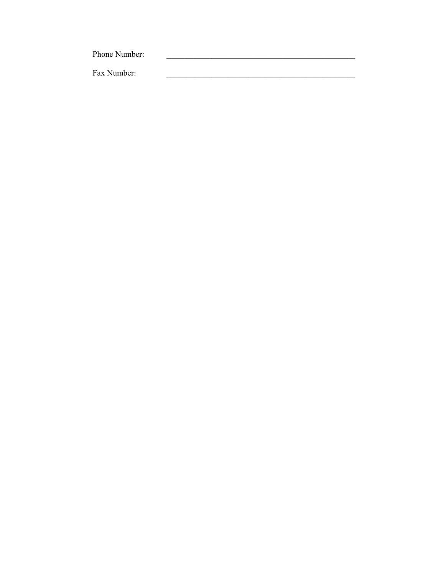Phone Number: Fax Number: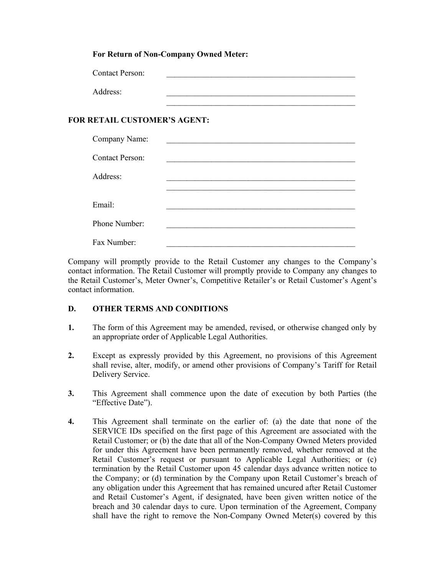#### **For Return of Non-Company Owned Meter:**

| <b>Contact Person:</b> |  |
|------------------------|--|
| Address:               |  |
|                        |  |

### **FOR RETAIL CUSTOMER'S AGENT:**

| Company Name:          |  |
|------------------------|--|
| <b>Contact Person:</b> |  |
| Address:               |  |
|                        |  |
| Email:                 |  |
| Phone Number:          |  |
| Fax Number:            |  |

Company will promptly provide to the Retail Customer any changes to the Company's contact information. The Retail Customer will promptly provide to Company any changes to the Retail Customer's, Meter Owner's, Competitive Retailer's or Retail Customer's Agent's contact information.

### **D. OTHER TERMS AND CONDITIONS**

- **1.** The form of this Agreement may be amended, revised, or otherwise changed only by an appropriate order of Applicable Legal Authorities.
- **2.** Except as expressly provided by this Agreement, no provisions of this Agreement shall revise, alter, modify, or amend other provisions of Company's Tariff for Retail Delivery Service.
- **3.** This Agreement shall commence upon the date of execution by both Parties (the "Effective Date").
- **4.** This Agreement shall terminate on the earlier of: (a) the date that none of the SERVICE IDs specified on the first page of this Agreement are associated with the Retail Customer; or (b) the date that all of the Non-Company Owned Meters provided for under this Agreement have been permanently removed, whether removed at the Retail Customer's request or pursuant to Applicable Legal Authorities; or (c) termination by the Retail Customer upon 45 calendar days advance written notice to the Company; or (d) termination by the Company upon Retail Customer's breach of any obligation under this Agreement that has remained uncured after Retail Customer and Retail Customer's Agent, if designated, have been given written notice of the breach and 30 calendar days to cure. Upon termination of the Agreement, Company shall have the right to remove the Non-Company Owned Meter(s) covered by this